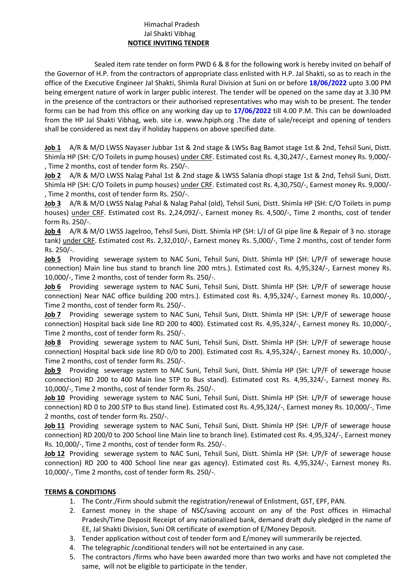## Himachal Pradesh Jal Shakti Vibhag **NOTICE INVITING TENDER**

Sealed item rate tender on form PWD 6 & 8 for the following work is hereby invited on behalf of the Governor of H.P. from the contractors of appropriate class enlisted with H.P. Jal Shakti, so as to reach in the office of the Executive Engineer Jal Shakti, Shimla Rural Division at Suni on or before **18/06/2022** upto 3.00 PM being emergent nature of work in larger public interest. The tender will be opened on the same day at 3.30 PM in the presence of the contractors or their authorised representatives who may wish to be present. The tender forms can be had from this office on any working day up to **17/06/2022** till 4.00 P.M. This can be downloaded from the HP Jal Shakti Vibhag, web. site i.e. www.hpiph.org .The date of sale/receipt and opening of tenders shall be considered as next day if holiday happens on above specified date.

**Job 1** A/R & M/O LWSS Nayaser Jubbar 1st & 2nd stage & LWSs Bag Bamot stage 1st & 2nd, Tehsil Suni, Distt. Shimla HP (SH: C/O Toilets in pump houses) under CRF. Estimated cost Rs. 4,30,247/-, Earnest money Rs. 9,000/- , Time 2 months, cost of tender form Rs. 250/-.

**Job 2** A/R & M/O LWSS Nalag Pahal 1st & 2nd stage & LWSS Salania dhopi stage 1st & 2nd, Tehsil Suni, Distt. Shimla HP (SH: C/O Toilets in pump houses) under CRF. Estimated cost Rs. 4,30,750/-, Earnest money Rs. 9,000/- , Time 2 months, cost of tender form Rs. 250/-.

**Job 3** A/R & M/O LWSS Nalag Pahal & Nalag Pahal (old), Tehsil Suni, Distt. Shimla HP (SH: C/O Toilets in pump houses) under CRF. Estimated cost Rs. 2,24,092/-, Earnest money Rs. 4,500/-, Time 2 months, cost of tender form Rs. 250/-.

**Job 4** A/R & M/O LWSS Jagelroo, Tehsil Suni, Distt. Shimla HP (SH: L/J of GI pipe line & Repair of 3 no. storage tank) under CRF. Estimated cost Rs. 2,32,010/-, Earnest money Rs. 5,000/-, Time 2 months, cost of tender form Rs. 250/-.

**Job 5** Providing sewerage system to NAC Suni, Tehsil Suni, Distt. Shimla HP (SH: L/P/F of sewerage house connection) Main line bus stand to branch line 200 mtrs.). Estimated cost Rs. 4,95,324/-, Earnest money Rs. 10,000/-, Time 2 months, cost of tender form Rs. 250/-.

**Job 6** Providing sewerage system to NAC Suni, Tehsil Suni, Distt. Shimla HP (SH: L/P/F of sewerage house connection) Near NAC office building 200 mtrs.). Estimated cost Rs. 4,95,324/-, Earnest money Rs. 10,000/-, Time 2 months, cost of tender form Rs. 250/-.

**Job 7** Providing sewerage system to NAC Suni, Tehsil Suni, Distt. Shimla HP (SH: L/P/F of sewerage house connection) Hospital back side line RD 200 to 400). Estimated cost Rs. 4,95,324/-, Earnest money Rs. 10,000/-, Time 2 months, cost of tender form Rs. 250/-.

**Job 8** Providing sewerage system to NAC Suni, Tehsil Suni, Distt. Shimla HP (SH: L/P/F of sewerage house connection) Hospital back side line RD 0/0 to 200). Estimated cost Rs. 4,95,324/-, Earnest money Rs. 10,000/-, Time 2 months, cost of tender form Rs. 250/-.

**Job 9** Providing sewerage system to NAC Suni, Tehsil Suni, Distt. Shimla HP (SH: L/P/F of sewerage house connection) RD 200 to 400 Main line STP to Bus stand). Estimated cost Rs. 4,95,324/-, Earnest money Rs. 10,000/-, Time 2 months, cost of tender form Rs. 250/-.

**Job 10** Providing sewerage system to NAC Suni, Tehsil Suni, Distt. Shimla HP (SH: L/P/F of sewerage house connection) RD 0 to 200 STP to Bus stand line). Estimated cost Rs. 4,95,324/-, Earnest money Rs. 10,000/-, Time 2 months, cost of tender form Rs. 250/-.

**Job 11** Providing sewerage system to NAC Suni, Tehsil Suni, Distt. Shimla HP (SH: L/P/F of sewerage house connection) RD 200/0 to 200 School line Main line to branch line). Estimated cost Rs. 4,95,324/-, Earnest money Rs. 10,000/-, Time 2 months, cost of tender form Rs. 250/-.

**Job 12** Providing sewerage system to NAC Suni, Tehsil Suni, Distt. Shimla HP (SH: L/P/F of sewerage house connection) RD 200 to 400 School line near gas agency). Estimated cost Rs. 4,95,324/-, Earnest money Rs. 10,000/-, Time 2 months, cost of tender form Rs. 250/-.

## **TERMS & CONDITIONS**

- 1. The Contr./Firm should submit the registration/renewal of Enlistment, GST, EPF, PAN.
- 2. Earnest money in the shape of NSC/saving account on any of the Post offices in Himachal Pradesh/Time Deposit Receipt of any nationalized bank, demand draft duly pledged in the name of EE, Jal Shakti Division, Suni OR certificate of exemption of E/Money Deposit.
- 3. Tender application without cost of tender form and E/money will summerarily be rejected.
- 4. The telegraphic /conditional tenders will not be entertained in any case.
- 5. The contractors /firms who have been awarded more than two works and have not completed the same, will not be eligible to participate in the tender.